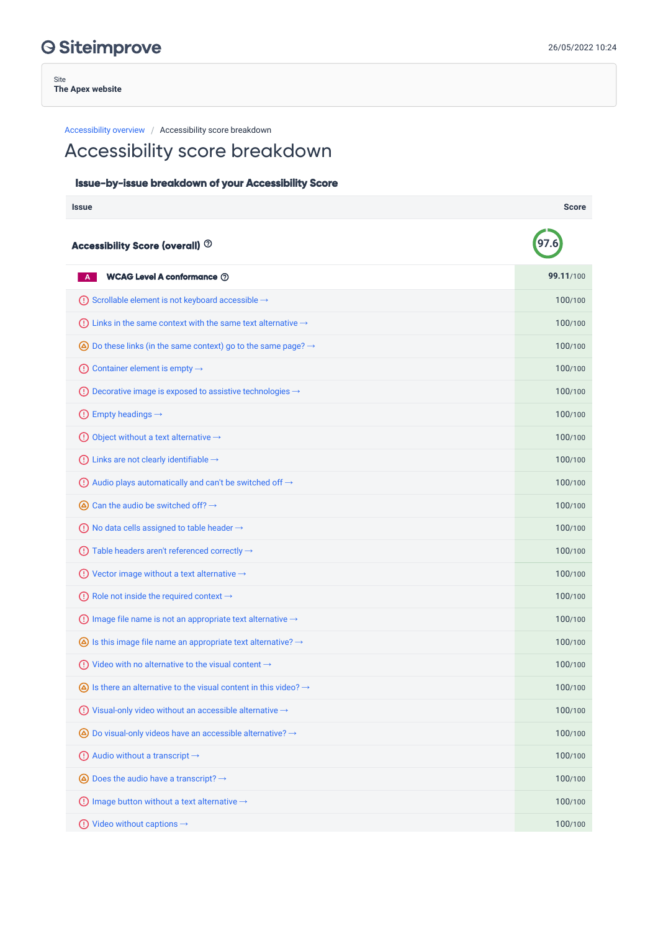Site **The Apex website**

Accessibility overview / Accessibility score breakdown

## Accessibility score breakdown

## Issue-by-issue breakdown of your Accessibility Score

| <b>Issue</b>                                                                          | <b>Score</b> |
|---------------------------------------------------------------------------------------|--------------|
| Accessibility Score (overall) <sup>7</sup>                                            |              |
| <b>WCAG Level A conformance 2</b>                                                     | 99.11/100    |
| (!) Scrollable element is not keyboard accessible $→$                                 | 100/100      |
| (!) Links in the same context with the same text alternative $\rightarrow$            | 100/100      |
| $\bigcirc$ Do these links (in the same context) go to the same page? $\rightarrow$    | 100/100      |
| Container element is empty $\rightarrow$<br>O)                                        | 100/100      |
| $\odot$ Decorative image is exposed to assistive technologies $\rightarrow$           | 100/100      |
| $\bigcirc$ Empty headings $\rightarrow$                                               | 100/100      |
| $\bigodot$ Object without a text alternative $\rightarrow$                            | 100/100      |
| $\bigcirc$ Links are not clearly identifiable $\rightarrow$                           | 100/100      |
| $\overline{O}$ Audio plays automatically and can't be switched off $\rightarrow$      | 100/100      |
| $\bigcirc$ Can the audio be switched off? $\rightarrow$                               | 100/100      |
| $\bigcirc$ No data cells assigned to table header $\rightarrow$                       | 100/100      |
| (1) Table headers aren't referenced correctly $\rightarrow$                           | 100/100      |
| (!) Vector image without a text alternative $\rightarrow$                             | 100/100      |
| (!) Role not inside the required context $\rightarrow$                                | 100/100      |
| (!) Image file name is not an appropriate text alternative $\rightarrow$              | 100/100      |
| $\bigcirc$ is this image file name an appropriate text alternative? $\rightarrow$     | 100/100      |
| $\odot$ Video with no alternative to the visual content $\rightarrow$                 | 100/100      |
| $\bigcirc$ Is there an alternative to the visual content in this video? $\rightarrow$ | 100/100      |
| (!) Visual-only video without an accessible alternative $\rightarrow$                 | 100/100      |
| $\bigcirc$ Do visual-only videos have an accessible alternative? $\rightarrow$        | 100/100      |
| $\bigcirc$ Audio without a transcript $\rightarrow$                                   | 100/100      |
| $\bigcirc$ Does the audio have a transcript? $\rightarrow$                            | 100/100      |
| $\bigcirc$ Image button without a text alternative $\rightarrow$                      | 100/100      |
| $\bigcirc$ Video without captions $\rightarrow$                                       | 100/100      |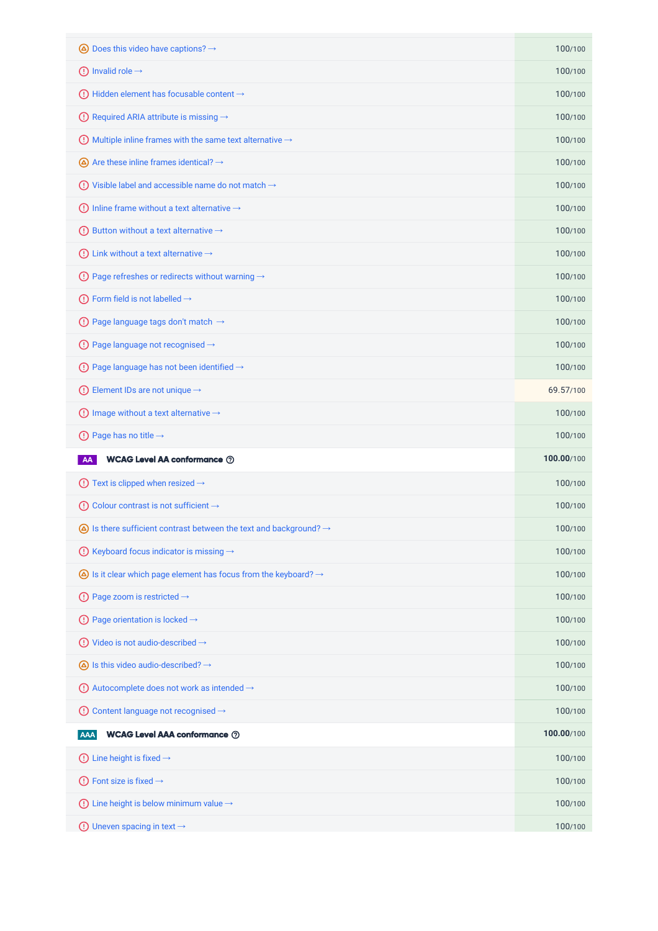| $\bigcirc$ Does this video have captions? $\rightarrow$                                | 100/100    |
|----------------------------------------------------------------------------------------|------------|
| $\textcircled{1}$ Invalid role $\rightarrow$                                           | 100/100    |
| Hidden element has focusable content $\rightarrow$<br>$\left( \cdot\right)$            | 100/100    |
| (!) Required ARIA attribute is missing $\rightarrow$                                   | 100/100    |
| $\bigcirc$ Multiple inline frames with the same text alternative $\rightarrow$         | 100/100    |
| $\bigcirc$ Are these inline frames identical? $\rightarrow$                            | 100/100    |
| $\odot$ Visible label and accessible name do not match $\rightarrow$                   | 100/100    |
| (1) Inline frame without a text alternative $\rightarrow$                              | 100/100    |
| ① Button without a text alternative $\rightarrow$                                      | 100/100    |
| Link without a text alternative $\rightarrow$<br>$\left( \cdot \right)$                | 100/100    |
| (!) Page refreshes or redirects without warning $\rightarrow$                          | 100/100    |
| $\bigoplus$ Form field is not labelled $\rightarrow$                                   | 100/100    |
| $\bigodot$ Page language tags don't match $\rightarrow$                                | 100/100    |
| (!) Page language not recognised $\rightarrow$                                         | 100/100    |
| $\bigcirc$ Page language has not been identified $\rightarrow$                         | 100/100    |
| $\bigcirc$ Element IDs are not unique $\rightarrow$                                    | 69.57/100  |
| Image without a text alternative $\rightarrow$<br>O)                                   | 100/100    |
|                                                                                        | 100/100    |
| $\bigcirc$ Page has no title $\rightarrow$                                             |            |
| <b>WCAG Level AA conformance 2</b><br>AA                                               | 100.00/100 |
| $\bigcirc$ Text is clipped when resized $\rightarrow$                                  | 100/100    |
| Colour contrast is not sufficient $\rightarrow$<br>$\left( \cdot\right)$               | 100/100    |
| $\bigcirc$ Is there sufficient contrast between the text and background? $\rightarrow$ | 100/100    |
| Keyboard focus indicator is missing →<br>$\left( \cdot \right)$                        | 100/100    |
| $\bigcirc$ Is it clear which page element has focus from the keyboard? $\rightarrow$   | 100/100    |
| $\bigcirc$ Page zoom is restricted $\rightarrow$                                       | 100/100    |
| (!) Page orientation is locked $\rightarrow$                                           | 100/100    |
| $\bigodot$ Video is not audio-described $\rightarrow$                                  | 100/100    |
| $\bigcirc$ Is this video audio-described? $\rightarrow$                                | 100/100    |
| (!) Autocomplete does not work as intended $\rightarrow$                               | 100/100    |
| Content language not recognised →<br>$\left( \left  \right. \right)$                   | 100/100    |
| <b>WCAG Level AAA conformance 2</b><br><b>AAA</b>                                      | 100.00/100 |
| Line height is fixed $\rightarrow$<br>$\left( \left  \right. \right)$                  | 100/100    |
| $\bigodot$ Font size is fixed $\rightarrow$                                            | 100/100    |
| Line height is below minimum value $\rightarrow$<br>$\left( \left  \right. \right)$    | 100/100    |